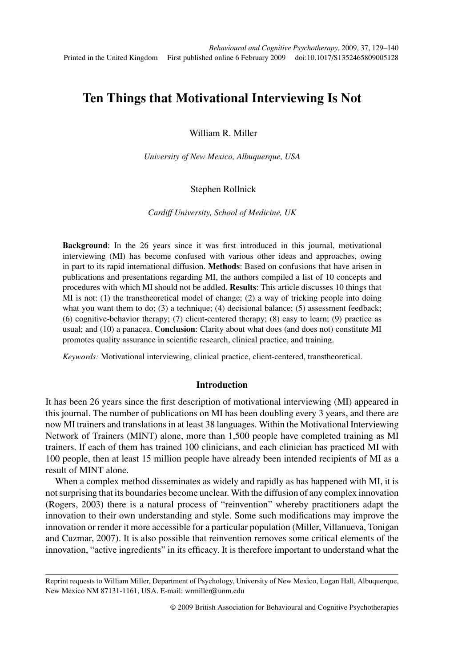# **Ten Things that Motivational Interviewing Is Not**

William R. Miller

*University of New Mexico, Albuquerque, USA*

# Stephen Rollnick

*Cardiff University, School of Medicine, UK*

**Background**: In the 26 years since it was first introduced in this journal, motivational interviewing (MI) has become confused with various other ideas and approaches, owing in part to its rapid international diffusion. **Methods**: Based on confusions that have arisen in publications and presentations regarding MI, the authors compiled a list of 10 concepts and procedures with which MI should not be addled. **Results**: This article discusses 10 things that MI is not: (1) the transtheoretical model of change; (2) a way of tricking people into doing what you want them to do;  $(3)$  a technique;  $(4)$  decisional balance;  $(5)$  assessment feedback; (6) cognitive-behavior therapy; (7) client-centered therapy; (8) easy to learn; (9) practice as usual; and (10) a panacea. **Conclusion**: Clarity about what does (and does not) constitute MI promotes quality assurance in scientific research, clinical practice, and training.

*Keywords:* Motivational interviewing, clinical practice, client-centered, transtheoretical.

# **Introduction**

It has been 26 years since the first description of motivational interviewing (MI) appeared in this journal. The number of publications on MI has been doubling every 3 years, and there are now MI trainers and translations in at least 38 languages. Within the Motivational Interviewing Network of Trainers (MINT) alone, more than 1,500 people have completed training as MI trainers. If each of them has trained 100 clinicians, and each clinician has practiced MI with 100 people, then at least 15 million people have already been intended recipients of MI as a result of MINT alone.

When a complex method disseminates as widely and rapidly as has happened with MI, it is not surprising that its boundaries become unclear. With the diffusion of any complex innovation (Rogers, 2003) there is a natural process of "reinvention" whereby practitioners adapt the innovation to their own understanding and style. Some such modifications may improve the innovation or render it more accessible for a particular population (Miller, Villanueva, Tonigan and Cuzmar, 2007). It is also possible that reinvention removes some critical elements of the innovation, "active ingredients" in its efficacy. It is therefore important to understand what the

Reprint requests to William Miller, Department of Psychology, University of New Mexico, Logan Hall, Albuquerque, New Mexico NM 87131-1161, USA. E-mail: wrmiller@unm.edu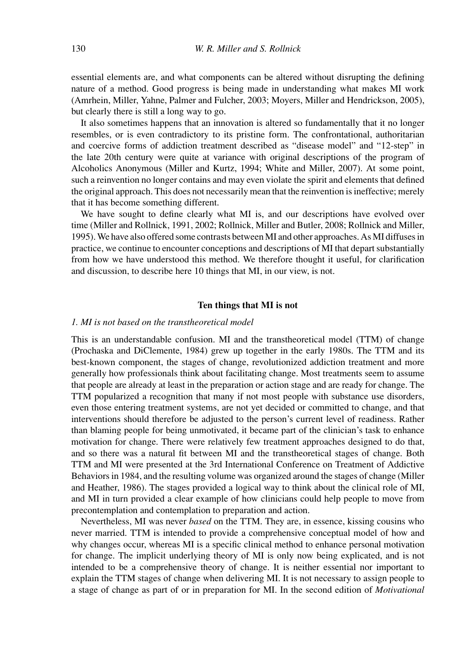essential elements are, and what components can be altered without disrupting the defining nature of a method. Good progress is being made in understanding what makes MI work (Amrhein, Miller, Yahne, Palmer and Fulcher, 2003; Moyers, Miller and Hendrickson, 2005), but clearly there is still a long way to go.

It also sometimes happens that an innovation is altered so fundamentally that it no longer resembles, or is even contradictory to its pristine form. The confrontational, authoritarian and coercive forms of addiction treatment described as "disease model" and "12-step" in the late 20th century were quite at variance with original descriptions of the program of Alcoholics Anonymous (Miller and Kurtz, 1994; White and Miller, 2007). At some point, such a reinvention no longer contains and may even violate the spirit and elements that defined the original approach. This does not necessarily mean that the reinvention is ineffective; merely that it has become something different.

We have sought to define clearly what MI is, and our descriptions have evolved over time (Miller and Rollnick, 1991, 2002; Rollnick, Miller and Butler, 2008; Rollnick and Miller, 1995).We have also offered some contrasts between MI and other approaches. As MI diffuses in practice, we continue to encounter conceptions and descriptions of MI that depart substantially from how we have understood this method. We therefore thought it useful, for clarification and discussion, to describe here 10 things that MI, in our view, is not.

# **Ten things that MI is not**

# *1. MI is not based on the transtheoretical model*

This is an understandable confusion. MI and the transtheoretical model (TTM) of change (Prochaska and DiClemente, 1984) grew up together in the early 1980s. The TTM and its best-known component, the stages of change, revolutionized addiction treatment and more generally how professionals think about facilitating change. Most treatments seem to assume that people are already at least in the preparation or action stage and are ready for change. The TTM popularized a recognition that many if not most people with substance use disorders, even those entering treatment systems, are not yet decided or committed to change, and that interventions should therefore be adjusted to the person's current level of readiness. Rather than blaming people for being unmotivated, it became part of the clinician's task to enhance motivation for change. There were relatively few treatment approaches designed to do that, and so there was a natural fit between MI and the transtheoretical stages of change. Both TTM and MI were presented at the 3rd International Conference on Treatment of Addictive Behaviors in 1984, and the resulting volume was organized around the stages of change (Miller and Heather, 1986). The stages provided a logical way to think about the clinical role of MI, and MI in turn provided a clear example of how clinicians could help people to move from precontemplation and contemplation to preparation and action.

Nevertheless, MI was never *based* on the TTM. They are, in essence, kissing cousins who never married. TTM is intended to provide a comprehensive conceptual model of how and why changes occur, whereas MI is a specific clinical method to enhance personal motivation for change. The implicit underlying theory of MI is only now being explicated, and is not intended to be a comprehensive theory of change. It is neither essential nor important to explain the TTM stages of change when delivering MI. It is not necessary to assign people to a stage of change as part of or in preparation for MI. In the second edition of *Motivational*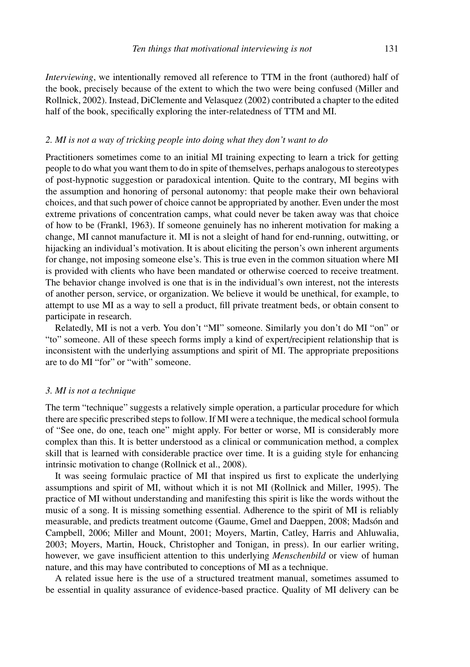*Interviewing*, we intentionally removed all reference to TTM in the front (authored) half of the book, precisely because of the extent to which the two were being confused (Miller and Rollnick, 2002). Instead, DiClemente and Velasquez (2002) contributed a chapter to the edited half of the book, specifically exploring the inter-relatedness of TTM and MI.

## *2. MI is not a way of tricking people into doing what they don't want to do*

Practitioners sometimes come to an initial MI training expecting to learn a trick for getting people to do what you want them to do in spite of themselves, perhaps analogous to stereotypes of post-hypnotic suggestion or paradoxical intention. Quite to the contrary, MI begins with the assumption and honoring of personal autonomy: that people make their own behavioral choices, and that such power of choice cannot be appropriated by another. Even under the most extreme privations of concentration camps, what could never be taken away was that choice of how to be (Frankl, 1963). If someone genuinely has no inherent motivation for making a change, MI cannot manufacture it. MI is not a sleight of hand for end-running, outwitting, or hijacking an individual's motivation. It is about eliciting the person's own inherent arguments for change, not imposing someone else's. This is true even in the common situation where MI is provided with clients who have been mandated or otherwise coerced to receive treatment. The behavior change involved is one that is in the individual's own interest, not the interests of another person, service, or organization. We believe it would be unethical, for example, to attempt to use MI as a way to sell a product, fill private treatment beds, or obtain consent to participate in research.

Relatedly, MI is not a verb. You don't "MI" someone. Similarly you don't do MI "on" or "to" someone. All of these speech forms imply a kind of expert/recipient relationship that is inconsistent with the underlying assumptions and spirit of MI. The appropriate prepositions are to do MI "for" or "with" someone.

#### *3. MI is not a technique*

The term "technique" suggests a relatively simple operation, a particular procedure for which there are specific prescribed steps to follow. If MI were a technique, the medical school formula of "See one, do one, teach one" might apply. For better or worse, MI is considerably more complex than this. It is better understood as a clinical or communication method, a complex skill that is learned with considerable practice over time. It is a guiding style for enhancing intrinsic motivation to change (Rollnick et al., 2008).

It was seeing formulaic practice of MI that inspired us first to explicate the underlying assumptions and spirit of MI, without which it is not MI (Rollnick and Miller, 1995). The practice of MI without understanding and manifesting this spirit is like the words without the music of a song. It is missing something essential. Adherence to the spirit of MI is reliably measurable, and predicts treatment outcome (Gaume, Gmel and Daeppen, 2008; Madsón and Campbell, 2006; Miller and Mount, 2001; Moyers, Martin, Catley, Harris and Ahluwalia, 2003; Moyers, Martin, Houck, Christopher and Tonigan, in press). In our earlier writing, however, we gave insufficient attention to this underlying *Menschenbild* or view of human nature, and this may have contributed to conceptions of MI as a technique.

A related issue here is the use of a structured treatment manual, sometimes assumed to be essential in quality assurance of evidence-based practice. Quality of MI delivery can be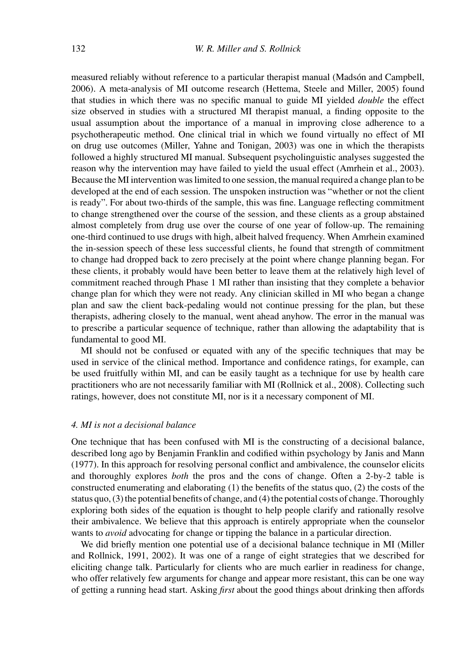measured reliably without reference to a particular therapist manual (Madsón and Campbell, 2006). A meta-analysis of MI outcome research (Hettema, Steele and Miller, 2005) found that studies in which there was no specific manual to guide MI yielded *double* the effect size observed in studies with a structured MI therapist manual, a finding opposite to the usual assumption about the importance of a manual in improving close adherence to a psychotherapeutic method. One clinical trial in which we found virtually no effect of MI on drug use outcomes (Miller, Yahne and Tonigan, 2003) was one in which the therapists followed a highly structured MI manual. Subsequent psycholinguistic analyses suggested the reason why the intervention may have failed to yield the usual effect (Amrhein et al., 2003). Because the MI intervention was limited to one session, the manual required a change plan to be developed at the end of each session. The unspoken instruction was "whether or not the client is ready". For about two-thirds of the sample, this was fine. Language reflecting commitment to change strengthened over the course of the session, and these clients as a group abstained almost completely from drug use over the course of one year of follow-up. The remaining one-third continued to use drugs with high, albeit halved frequency. When Amrhein examined the in-session speech of these less successful clients, he found that strength of commitment to change had dropped back to zero precisely at the point where change planning began. For these clients, it probably would have been better to leave them at the relatively high level of commitment reached through Phase 1 MI rather than insisting that they complete a behavior change plan for which they were not ready. Any clinician skilled in MI who began a change plan and saw the client back-pedaling would not continue pressing for the plan, but these therapists, adhering closely to the manual, went ahead anyhow. The error in the manual was to prescribe a particular sequence of technique, rather than allowing the adaptability that is fundamental to good MI.

MI should not be confused or equated with any of the specific techniques that may be used in service of the clinical method. Importance and confidence ratings, for example, can be used fruitfully within MI, and can be easily taught as a technique for use by health care practitioners who are not necessarily familiar with MI (Rollnick et al., 2008). Collecting such ratings, however, does not constitute MI, nor is it a necessary component of MI.

# *4. MI is not a decisional balance*

One technique that has been confused with MI is the constructing of a decisional balance, described long ago by Benjamin Franklin and codified within psychology by Janis and Mann (1977). In this approach for resolving personal conflict and ambivalence, the counselor elicits and thoroughly explores *both* the pros and the cons of change. Often a 2-by-2 table is constructed enumerating and elaborating (1) the benefits of the status quo, (2) the costs of the status quo, (3) the potential benefits of change, and (4) the potential costs of change. Thoroughly exploring both sides of the equation is thought to help people clarify and rationally resolve their ambivalence. We believe that this approach is entirely appropriate when the counselor wants to *avoid* advocating for change or tipping the balance in a particular direction.

We did briefly mention one potential use of a decisional balance technique in MI (Miller and Rollnick, 1991, 2002). It was one of a range of eight strategies that we described for eliciting change talk. Particularly for clients who are much earlier in readiness for change, who offer relatively few arguments for change and appear more resistant, this can be one way of getting a running head start. Asking *first* about the good things about drinking then affords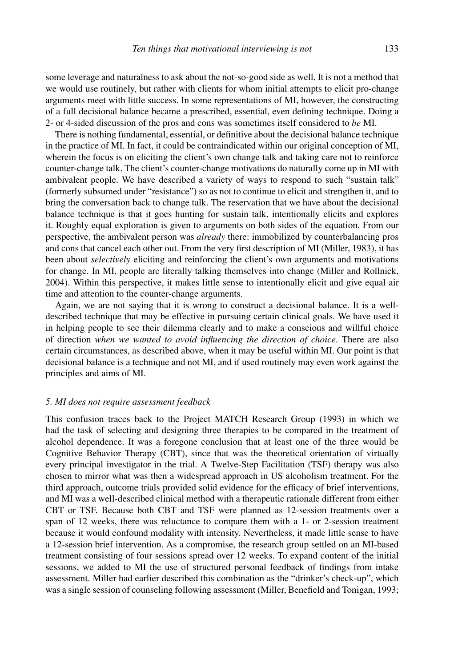some leverage and naturalness to ask about the not-so-good side as well. It is not a method that we would use routinely, but rather with clients for whom initial attempts to elicit pro-change arguments meet with little success. In some representations of MI, however, the constructing of a full decisional balance became a prescribed, essential, even defining technique. Doing a 2- or 4-sided discussion of the pros and cons was sometimes itself considered to *be* MI.

There is nothing fundamental, essential, or definitive about the decisional balance technique in the practice of MI. In fact, it could be contraindicated within our original conception of MI, wherein the focus is on eliciting the client's own change talk and taking care not to reinforce counter-change talk. The client's counter-change motivations do naturally come up in MI with ambivalent people. We have described a variety of ways to respond to such "sustain talk" (formerly subsumed under "resistance") so as not to continue to elicit and strengthen it, and to bring the conversation back to change talk. The reservation that we have about the decisional balance technique is that it goes hunting for sustain talk, intentionally elicits and explores it. Roughly equal exploration is given to arguments on both sides of the equation. From our perspective, the ambivalent person was *already* there: immobilized by counterbalancing pros and cons that cancel each other out. From the very first description of MI (Miller, 1983), it has been about *selectively* eliciting and reinforcing the client's own arguments and motivations for change. In MI, people are literally talking themselves into change (Miller and Rollnick, 2004). Within this perspective, it makes little sense to intentionally elicit and give equal air time and attention to the counter-change arguments.

Again, we are not saying that it is wrong to construct a decisional balance. It is a welldescribed technique that may be effective in pursuing certain clinical goals. We have used it in helping people to see their dilemma clearly and to make a conscious and willful choice of direction *when we wanted to avoid influencing the direction of choice*. There are also certain circumstances, as described above, when it may be useful within MI. Our point is that decisional balance is a technique and not MI, and if used routinely may even work against the principles and aims of MI.

#### *5. MI does not require assessment feedback*

This confusion traces back to the Project MATCH Research Group (1993) in which we had the task of selecting and designing three therapies to be compared in the treatment of alcohol dependence. It was a foregone conclusion that at least one of the three would be Cognitive Behavior Therapy (CBT), since that was the theoretical orientation of virtually every principal investigator in the trial. A Twelve-Step Facilitation (TSF) therapy was also chosen to mirror what was then a widespread approach in US alcoholism treatment. For the third approach, outcome trials provided solid evidence for the efficacy of brief interventions, and MI was a well-described clinical method with a therapeutic rationale different from either CBT or TSF. Because both CBT and TSF were planned as 12-session treatments over a span of 12 weeks, there was reluctance to compare them with a 1- or 2-session treatment because it would confound modality with intensity. Nevertheless, it made little sense to have a 12-session brief intervention. As a compromise, the research group settled on an MI-based treatment consisting of four sessions spread over 12 weeks. To expand content of the initial sessions, we added to MI the use of structured personal feedback of findings from intake assessment. Miller had earlier described this combination as the "drinker's check-up", which was a single session of counseling following assessment (Miller, Benefield and Tonigan, 1993;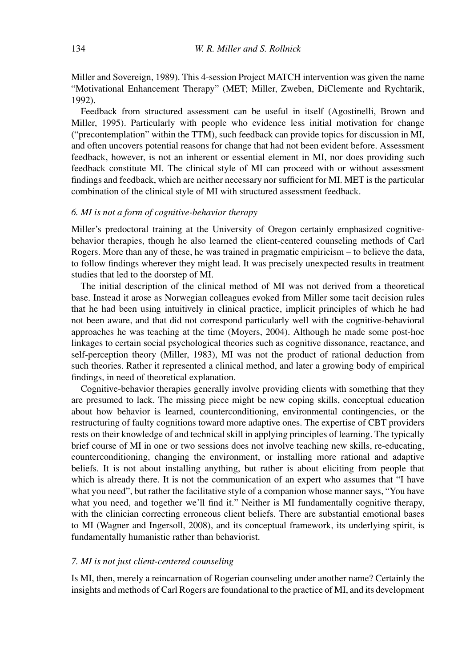Miller and Sovereign, 1989). This 4-session Project MATCH intervention was given the name "Motivational Enhancement Therapy" (MET; Miller, Zweben, DiClemente and Rychtarik, 1992).

Feedback from structured assessment can be useful in itself (Agostinelli, Brown and Miller, 1995). Particularly with people who evidence less initial motivation for change ("precontemplation" within the TTM), such feedback can provide topics for discussion in MI, and often uncovers potential reasons for change that had not been evident before. Assessment feedback, however, is not an inherent or essential element in MI, nor does providing such feedback constitute MI. The clinical style of MI can proceed with or without assessment findings and feedback, which are neither necessary nor sufficient for MI. MET is the particular combination of the clinical style of MI with structured assessment feedback.

# *6. MI is not a form of cognitive-behavior therapy*

Miller's predoctoral training at the University of Oregon certainly emphasized cognitivebehavior therapies, though he also learned the client-centered counseling methods of Carl Rogers. More than any of these, he was trained in pragmatic empiricism – to believe the data, to follow findings wherever they might lead. It was precisely unexpected results in treatment studies that led to the doorstep of MI.

The initial description of the clinical method of MI was not derived from a theoretical base. Instead it arose as Norwegian colleagues evoked from Miller some tacit decision rules that he had been using intuitively in clinical practice, implicit principles of which he had not been aware, and that did not correspond particularly well with the cognitive-behavioral approaches he was teaching at the time (Moyers, 2004). Although he made some post-hoc linkages to certain social psychological theories such as cognitive dissonance, reactance, and self-perception theory (Miller, 1983), MI was not the product of rational deduction from such theories. Rather it represented a clinical method, and later a growing body of empirical findings, in need of theoretical explanation.

Cognitive-behavior therapies generally involve providing clients with something that they are presumed to lack. The missing piece might be new coping skills, conceptual education about how behavior is learned, counterconditioning, environmental contingencies, or the restructuring of faulty cognitions toward more adaptive ones. The expertise of CBT providers rests on their knowledge of and technical skill in applying principles of learning. The typically brief course of MI in one or two sessions does not involve teaching new skills, re-educating, counterconditioning, changing the environment, or installing more rational and adaptive beliefs. It is not about installing anything, but rather is about eliciting from people that which is already there. It is not the communication of an expert who assumes that "I have what you need", but rather the facilitative style of a companion whose manner says, "You have what you need, and together we'll find it." Neither is MI fundamentally cognitive therapy, with the clinician correcting erroneous client beliefs. There are substantial emotional bases to MI (Wagner and Ingersoll, 2008), and its conceptual framework, its underlying spirit, is fundamentally humanistic rather than behaviorist.

# *7. MI is not just client-centered counseling*

Is MI, then, merely a reincarnation of Rogerian counseling under another name? Certainly the insights and methods of Carl Rogers are foundational to the practice of MI, and its development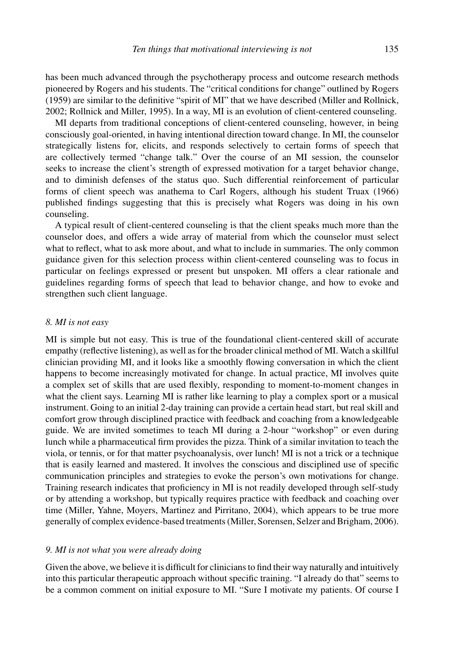has been much advanced through the psychotherapy process and outcome research methods pioneered by Rogers and his students. The "critical conditions for change" outlined by Rogers (1959) are similar to the definitive "spirit of MI" that we have described (Miller and Rollnick, 2002; Rollnick and Miller, 1995). In a way, MI is an evolution of client-centered counseling.

MI departs from traditional conceptions of client-centered counseling, however, in being consciously goal-oriented, in having intentional direction toward change. In MI, the counselor strategically listens for, elicits, and responds selectively to certain forms of speech that are collectively termed "change talk." Over the course of an MI session, the counselor seeks to increase the client's strength of expressed motivation for a target behavior change, and to diminish defenses of the status quo. Such differential reinforcement of particular forms of client speech was anathema to Carl Rogers, although his student Truax (1966) published findings suggesting that this is precisely what Rogers was doing in his own counseling.

A typical result of client-centered counseling is that the client speaks much more than the counselor does, and offers a wide array of material from which the counselor must select what to reflect, what to ask more about, and what to include in summaries. The only common guidance given for this selection process within client-centered counseling was to focus in particular on feelings expressed or present but unspoken. MI offers a clear rationale and guidelines regarding forms of speech that lead to behavior change, and how to evoke and strengthen such client language.

#### *8. MI is not easy*

MI is simple but not easy. This is true of the foundational client-centered skill of accurate empathy (reflective listening), as well as for the broader clinical method of MI. Watch a skillful clinician providing MI, and it looks like a smoothly flowing conversation in which the client happens to become increasingly motivated for change. In actual practice, MI involves quite a complex set of skills that are used flexibly, responding to moment-to-moment changes in what the client says. Learning MI is rather like learning to play a complex sport or a musical instrument. Going to an initial 2-day training can provide a certain head start, but real skill and comfort grow through disciplined practice with feedback and coaching from a knowledgeable guide. We are invited sometimes to teach MI during a 2-hour "workshop" or even during lunch while a pharmaceutical firm provides the pizza. Think of a similar invitation to teach the viola, or tennis, or for that matter psychoanalysis, over lunch! MI is not a trick or a technique that is easily learned and mastered. It involves the conscious and disciplined use of specific communication principles and strategies to evoke the person's own motivations for change. Training research indicates that proficiency in MI is not readily developed through self-study or by attending a workshop, but typically requires practice with feedback and coaching over time (Miller, Yahne, Moyers, Martinez and Pirritano, 2004), which appears to be true more generally of complex evidence-based treatments (Miller, Sorensen, Selzer and Brigham, 2006).

# *9. MI is not what you were already doing*

Given the above, we believe it is difficult for clinicians to find their way naturally and intuitively into this particular therapeutic approach without specific training. "I already do that" seems to be a common comment on initial exposure to MI. "Sure I motivate my patients. Of course I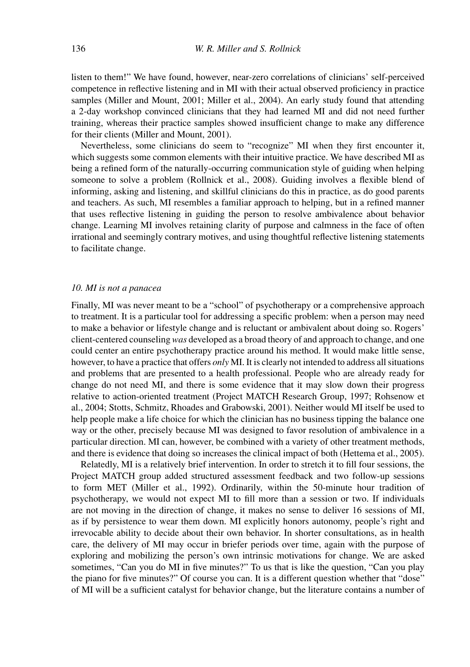listen to them!" We have found, however, near-zero correlations of clinicians' self-perceived competence in reflective listening and in MI with their actual observed proficiency in practice samples (Miller and Mount, 2001; Miller et al., 2004). An early study found that attending a 2-day workshop convinced clinicians that they had learned MI and did not need further training, whereas their practice samples showed insufficient change to make any difference for their clients (Miller and Mount, 2001).

Nevertheless, some clinicians do seem to "recognize" MI when they first encounter it, which suggests some common elements with their intuitive practice. We have described MI as being a refined form of the naturally-occurring communication style of guiding when helping someone to solve a problem (Rollnick et al., 2008). Guiding involves a flexible blend of informing, asking and listening, and skillful clinicians do this in practice, as do good parents and teachers. As such, MI resembles a familiar approach to helping, but in a refined manner that uses reflective listening in guiding the person to resolve ambivalence about behavior change. Learning MI involves retaining clarity of purpose and calmness in the face of often irrational and seemingly contrary motives, and using thoughtful reflective listening statements to facilitate change.

#### *10. MI is not a panacea*

Finally, MI was never meant to be a "school" of psychotherapy or a comprehensive approach to treatment. It is a particular tool for addressing a specific problem: when a person may need to make a behavior or lifestyle change and is reluctant or ambivalent about doing so. Rogers' client-centered counseling *was* developed as a broad theory of and approach to change, and one could center an entire psychotherapy practice around his method. It would make little sense, however, to have a practice that offers *only* MI. It is clearly not intended to address all situations and problems that are presented to a health professional. People who are already ready for change do not need MI, and there is some evidence that it may slow down their progress relative to action-oriented treatment (Project MATCH Research Group, 1997; Rohsenow et al., 2004; Stotts, Schmitz, Rhoades and Grabowski, 2001). Neither would MI itself be used to help people make a life choice for which the clinician has no business tipping the balance one way or the other, precisely because MI was designed to favor resolution of ambivalence in a particular direction. MI can, however, be combined with a variety of other treatment methods, and there is evidence that doing so increases the clinical impact of both (Hettema et al., 2005).

Relatedly, MI is a relatively brief intervention. In order to stretch it to fill four sessions, the Project MATCH group added structured assessment feedback and two follow-up sessions to form MET (Miller et al., 1992). Ordinarily, within the 50-minute hour tradition of psychotherapy, we would not expect MI to fill more than a session or two. If individuals are not moving in the direction of change, it makes no sense to deliver 16 sessions of MI, as if by persistence to wear them down. MI explicitly honors autonomy, people's right and irrevocable ability to decide about their own behavior. In shorter consultations, as in health care, the delivery of MI may occur in briefer periods over time, again with the purpose of exploring and mobilizing the person's own intrinsic motivations for change. We are asked sometimes, "Can you do MI in five minutes?" To us that is like the question, "Can you play the piano for five minutes?" Of course you can. It is a different question whether that "dose" of MI will be a sufficient catalyst for behavior change, but the literature contains a number of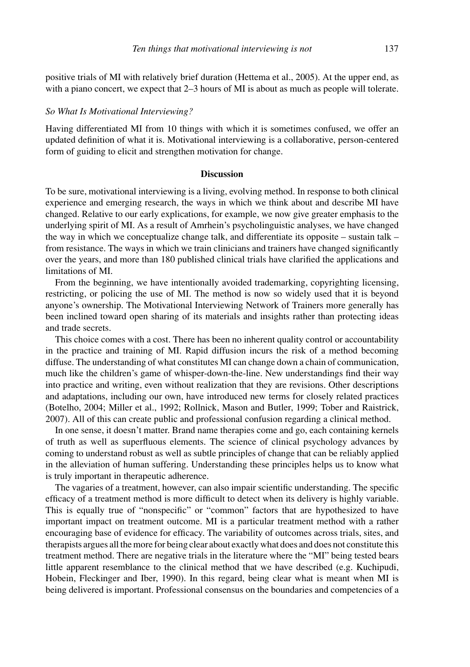positive trials of MI with relatively brief duration (Hettema et al., 2005). At the upper end, as with a piano concert, we expect that  $2-3$  hours of MI is about as much as people will tolerate.

## *So What Is Motivational Interviewing?*

Having differentiated MI from 10 things with which it is sometimes confused, we offer an updated definition of what it is. Motivational interviewing is a collaborative, person-centered form of guiding to elicit and strengthen motivation for change.

#### **Discussion**

To be sure, motivational interviewing is a living, evolving method. In response to both clinical experience and emerging research, the ways in which we think about and describe MI have changed. Relative to our early explications, for example, we now give greater emphasis to the underlying spirit of MI. As a result of Amrhein's psycholinguistic analyses, we have changed the way in which we conceptualize change talk, and differentiate its opposite – sustain talk – from resistance. The ways in which we train clinicians and trainers have changed significantly over the years, and more than 180 published clinical trials have clarified the applications and limitations of MI.

From the beginning, we have intentionally avoided trademarking, copyrighting licensing, restricting, or policing the use of MI. The method is now so widely used that it is beyond anyone's ownership. The Motivational Interviewing Network of Trainers more generally has been inclined toward open sharing of its materials and insights rather than protecting ideas and trade secrets.

This choice comes with a cost. There has been no inherent quality control or accountability in the practice and training of MI. Rapid diffusion incurs the risk of a method becoming diffuse. The understanding of what constitutes MI can change down a chain of communication, much like the children's game of whisper-down-the-line. New understandings find their way into practice and writing, even without realization that they are revisions. Other descriptions and adaptations, including our own, have introduced new terms for closely related practices (Botelho, 2004; Miller et al., 1992; Rollnick, Mason and Butler, 1999; Tober and Raistrick, 2007). All of this can create public and professional confusion regarding a clinical method.

In one sense, it doesn't matter. Brand name therapies come and go, each containing kernels of truth as well as superfluous elements. The science of clinical psychology advances by coming to understand robust as well as subtle principles of change that can be reliably applied in the alleviation of human suffering. Understanding these principles helps us to know what is truly important in therapeutic adherence.

The vagaries of a treatment, however, can also impair scientific understanding. The specific efficacy of a treatment method is more difficult to detect when its delivery is highly variable. This is equally true of "nonspecific" or "common" factors that are hypothesized to have important impact on treatment outcome. MI is a particular treatment method with a rather encouraging base of evidence for efficacy. The variability of outcomes across trials, sites, and therapists argues all the more for being clear about exactly what does and does not constitute this treatment method. There are negative trials in the literature where the "MI" being tested bears little apparent resemblance to the clinical method that we have described (e.g. Kuchipudi, Hobein, Fleckinger and Iber, 1990). In this regard, being clear what is meant when MI is being delivered is important. Professional consensus on the boundaries and competencies of a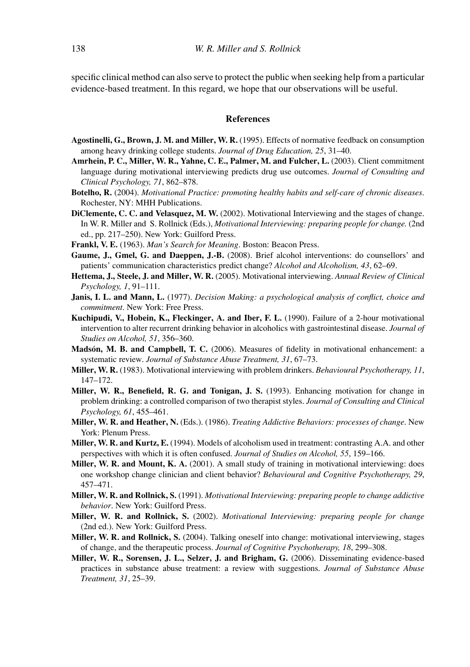specific clinical method can also serve to protect the public when seeking help from a particular evidence-based treatment. In this regard, we hope that our observations will be useful.

#### **References**

- **Agostinelli, G., Brown, J. M. and Miller, W. R.** (1995). Effects of normative feedback on consumption among heavy drinking college students. *Journal of Drug Education, 25*, 31–40.
- **Amrhein, P. C., Miller, W. R., Yahne, C. E., Palmer, M. and Fulcher, L.** (2003). Client commitment language during motivational interviewing predicts drug use outcomes. *Journal of Consulting and Clinical Psychology, 71*, 862–878.
- **Botelho, R.** (2004). *Motivational Practice: promoting healthy habits and self-care of chronic diseases*. Rochester, NY: MHH Publications.
- **DiClemente, C. C. and Velasquez, M. W.** (2002). Motivational Interviewing and the stages of change. In W. R. Miller and S. Rollnick (Eds.), *Motivational Interviewing: preparing people for change.* (2nd ed., pp. 217–250). New York: Guilford Press.
- **Frankl, V. E.** (1963). *Man's Search for Meaning*. Boston: Beacon Press.
- **Gaume, J., Gmel, G. and Daeppen, J.-B.** (2008). Brief alcohol interventions: do counsellors' and patients' communication characteristics predict change? *Alcohol and Alcoholism, 43*, 62–69.
- **Hettema, J., Steele, J. and Miller, W. R.** (2005). Motivational interviewing. *Annual Review of Clinical Psychology, 1*, 91–111.
- **Janis, I. L. and Mann, L.** (1977). *Decision Making: a psychological analysis of conflict, choice and commitment*. New York: Free Press.
- **Kuchipudi, V., Hobein, K., Fleckinger, A. and Iber, F. L.** (1990). Failure of a 2-hour motivational intervention to alter recurrent drinking behavior in alcoholics with gastrointestinal disease. *Journal of Studies on Alcohol, 51*, 356–360.
- **Madson, M. B. and Campbell, T. C. ´** (2006). Measures of fidelity in motivational enhancement: a systematic review. *Journal of Substance Abuse Treatment, 31*, 67–73.
- **Miller, W. R.** (1983). Motivational interviewing with problem drinkers. *Behavioural Psychotherapy, 11*, 147–172.
- **Miller, W. R., Benefield, R. G. and Tonigan, J. S.** (1993). Enhancing motivation for change in problem drinking: a controlled comparison of two therapist styles. *Journal of Consulting and Clinical Psychology, 61*, 455–461.
- **Miller, W. R. and Heather, N.** (Eds.). (1986). *Treating Addictive Behaviors: processes of change*. New York: Plenum Press.
- **Miller, W. R. and Kurtz, E.** (1994). Models of alcoholism used in treatment: contrasting A.A. and other perspectives with which it is often confused. *Journal of Studies on Alcohol, 55*, 159–166.
- **Miller, W. R. and Mount, K. A.** (2001). A small study of training in motivational interviewing: does one workshop change clinician and client behavior? *Behavioural and Cognitive Psychotherapy, 29*, 457–471.
- **Miller, W. R. and Rollnick, S.** (1991). *Motivational Interviewing: preparing people to change addictive behavior*. New York: Guilford Press.
- **Miller, W. R. and Rollnick, S.** (2002). *Motivational Interviewing: preparing people for change* (2nd ed.). New York: Guilford Press.
- **Miller, W. R. and Rollnick, S.** (2004). Talking oneself into change: motivational interviewing, stages of change, and the therapeutic process. *Journal of Cognitive Psychotherapy, 18*, 299–308.
- **Miller, W. R., Sorensen, J. L., Selzer, J. and Brigham, G.** (2006). Disseminating evidence-based practices in substance abuse treatment: a review with suggestions. *Journal of Substance Abuse Treatment, 31*, 25–39.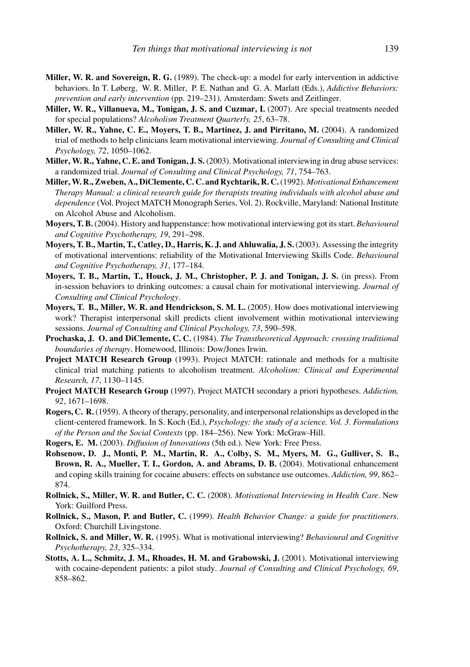- **Miller, W. R. and Sovereign, R. G.** (1989). The check-up: a model for early intervention in addictive behaviors. In T. Løberg, W. R. Miller, P. E. Nathan and G. A. Marlatt (Eds.), *Addictive Behaviors: prevention and early intervention* (pp. 219–231). Amsterdam: Swets and Zeitlinger.
- **Miller, W. R., Villanueva, M., Tonigan, J. S. and Cuzmar, I.** (2007). Are special treatments needed for special populations? *Alcoholism Treatment Quarterly, 25*, 63–78.
- **Miller, W. R., Yahne, C. E., Moyers, T. B., Martinez, J. and Pirritano, M.** (2004). A randomized trial of methods to help clinicians learn motivational interviewing. *Journal of Consulting and Clinical Psychology, 72*, 1050–1062.
- **Miller, W. R., Yahne, C. E. and Tonigan, J. S.** (2003). Motivational interviewing in drug abuse services: a randomized trial. *Journal of Consulting and Clinical Psychology, 71*, 754–763.
- **Miller,W. R., Zweben, A., DiClemente, C. C. and Rychtarik, R. C.**(1992). *Motivational Enhancement Therapy Manual: a clinical research guide for therapists treating individuals with alcohol abuse and dependence* (Vol. Project MATCH Monograph Series, Vol. 2). Rockville, Maryland: National Institute on Alcohol Abuse and Alcoholism.
- **Moyers, T. B.**(2004). History and happenstance: how motivational interviewing got its start. *Behavioural and Cognitive Psychotherapy, 19*, 291–298.
- **Moyers, T. B., Martin, T., Catley, D., Harris, K. J. and Ahluwalia, J. S.**(2003). Assessing the integrity of motivational interventions: reliability of the Motivational Interviewing Skills Code. *Behavioural and Cognitive Psychotherapy, 31*, 177–184.
- **Moyers, T. B., Martin, T., Houck, J. M., Christopher, P. J. and Tonigan, J. S.** (in press). From in-session behaviors to drinking outcomes: a causal chain for motivational interviewing. *Journal of Consulting and Clinical Psychology*.
- **Moyers, T. B., Miller, W. R. and Hendrickson, S. M. L.** (2005). How does motivational interviewing work? Therapist interpersonal skill predicts client involvement within motivational interviewing sessions. *Journal of Consulting and Clinical Psychology, 73*, 590–598.
- **Prochaska, J. O. and DiClemente, C. C.** (1984). *The Transtheoretical Approach: crossing traditional boundaries of therapy*. Homewood, Illinois: Dow/Jones Irwin.
- **Project MATCH Research Group** (1993). Project MATCH: rationale and methods for a multisite clinical trial matching patients to alcoholism treatment. *Alcoholism: Clinical and Experimental Research, 17*, 1130–1145.
- **Project MATCH Research Group** (1997). Project MATCH secondary a priori hypotheses. *Addiction, 92*, 1671–1698.
- **Rogers, C. R.**(1959). A theory of therapy, personality, and interpersonal relationships as developed in the client-centered framework. In S. Koch (Ed.), *Psychology: the study of a science. Vol. 3. Formulations of the Person and the Social Contexts* (pp. 184–256). New York: McGraw-Hill.
- **Rogers, E. M.** (2003). *Diffusion of Innovations* (5th ed.). New York: Free Press.
- **Rohsenow, D. J., Monti, P. M., Martin, R. A., Colby, S. M., Myers, M. G., Gulliver, S. B., Brown, R. A., Mueller, T. I., Gordon, A. and Abrams, D. B.** (2004). Motivational enhancement and coping skills training for cocaine abusers: effects on substance use outcomes. *Addiction, 99*, 862– 874.
- **Rollnick, S., Miller, W. R. and Butler, C. C.** (2008). *Motivational Interviewing in Health Care*. New York: Guilford Press.
- **Rollnick, S., Mason, P. and Butler, C.** (1999). *Health Behavior Change: a guide for practitioners*. Oxford: Churchill Livingstone.
- **Rollnick, S. and Miller, W. R.** (1995). What is motivational interviewing? *Behavioural and Cognitive Psychotherapy, 23*, 325–334.
- **Stotts, A. L., Schmitz, J. M., Rhoades, H. M. and Grabowski, J.** (2001). Motivational interviewing with cocaine-dependent patients: a pilot study. *Journal of Consulting and Clinical Psychology, 69*, 858–862.